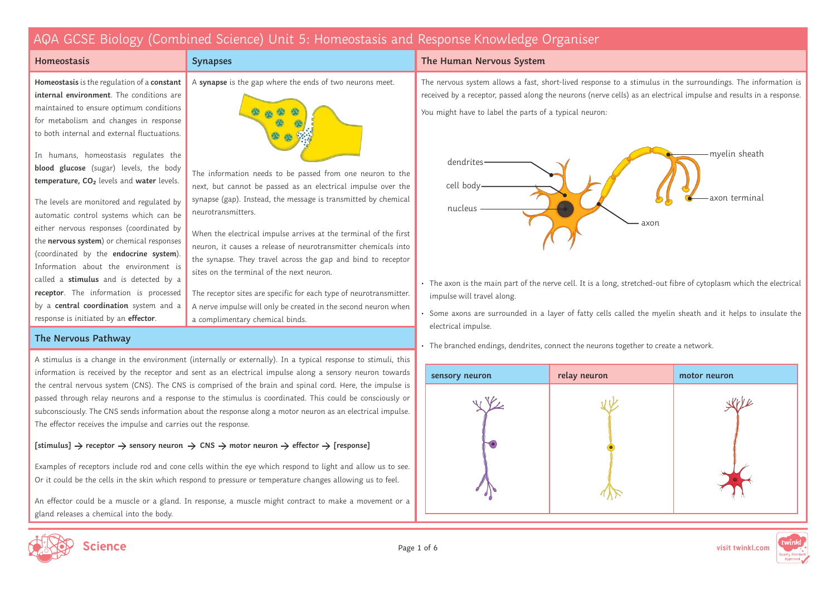A **synapse** is the gap where the ends of two neurons meet.

The information needs to be passed from one neuron to the next, but cannot be passed as an electrical impulse over the synapse (gap). Instead, the message is transmitted by chemical

When the electrical impulse arrives at the terminal of the first neuron, it causes a release of neurotransmitter chemicals into the synapse. They travel across the gap and bind to receptor

The receptor sites are specific for each type of neurotransmitter. A nerve impulse will only be created in the second neuron when

sites on the terminal of the next neuron.

a complimentary chemical binds.

### **Homeostasis**

**Homeostasis** is the regulation of a **constant internal environment**. The conditions are maintained to ensure optimum conditions for metabolism and changes in response to both internal and external fluctuations.

In humans, homeostasis regulates the **blood glucose** (sugar) levels, the body **temperature, CO₂** levels and **water** levels.

The levels are monitored and regulated by automatic control systems which can be either nervous responses (coordinated by the **nervous system**) or chemical responses (coordinated by the **endocrine system**). Information about the environment is called a **stimulus** and is detected by a **receptor**. The information is processed by a **central coordination** system and a response is initiated by an **effector**.

**The Nervous Pathway**

A stimulus is a change in the environment (internally or externally). In a typical response to stimuli, this information is received by the receptor and sent as an electrical impulse along a sensory neuron towards the central nervous system (CNS). The CNS is comprised of the brain and spinal cord. Here, the impulse is passed through relay neurons and a response to the stimulus is coordinated. This could be consciously or subconsciously. The CNS sends information about the response along a motor neuron as an electrical impulse. The effector receives the impulse and carries out the response.

neurotransmitters.

**Synapses**

### $[stimulus] \rightarrow receptor \rightarrow sensory$  neuron  $\rightarrow CNS \rightarrow motor$  neuron  $\rightarrow$  effector  $\rightarrow$  [response]

Examples of receptors include rod and cone cells within the eye which respond to light and allow us to see. Or it could be the cells in the skin which respond to pressure or temperature changes allowing us to feel.

An effector could be a muscle or a gland. In response, a muscle might contract to make a movement or a gland releases a chemical into the body.

### **The Human Nervous System**

The nervous system allows a fast, short-lived response to a stimulus in the surroundings. The information is received by a receptor, passed along the neurons (nerve cells) as an electrical impulse and results in a response. You might have to label the parts of a typical neuron:



- The axon is the main part of the nerve cell. It is a long, stretched-out fibre of cytoplasm which the electrical impulse will travel along.
- Some axons are surrounded in a layer of fatty cells called the myelin sheath and it helps to insulate the electrical impulse.
- The branched endings, dendrites, connect the neurons together to create a network.





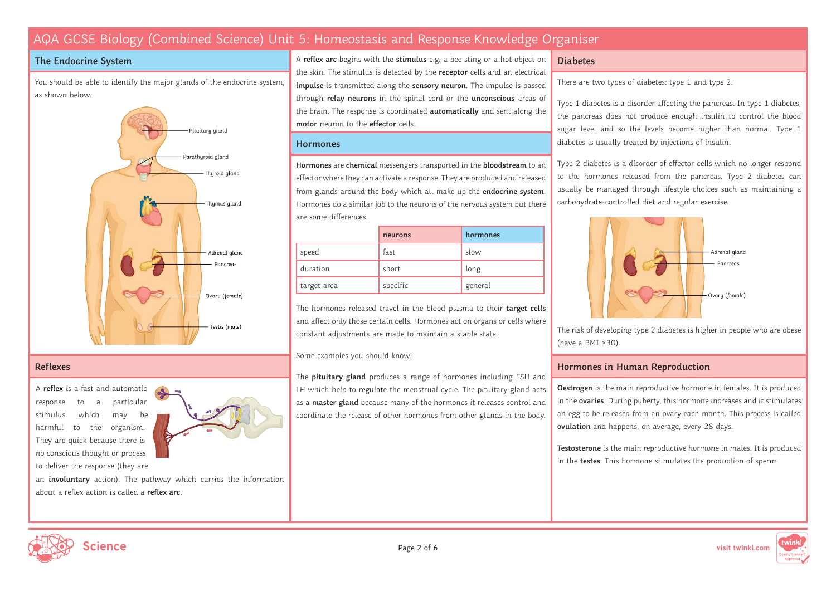### **The Endocrine System**

You should be able to identify the major glands of the endocrine system, as shown below.



### **Reflexes**

A **reflex** is a fast and automatic response to a particular stimulus which may be harmful to the organism. They are quick because there is no conscious thought or process to deliver the response (they are



an **involuntary** action). The pathway which carries the information about a reflex action is called a **reflex arc**.

A **reflex arc** begins with the **stimulus** e.g. a bee sting or a hot object on the skin. The stimulus is detected by the **receptor** cells and an electrical **impulse** is transmitted along the **sensory neuron**. The impulse is passed through **relay neurons** in the spinal cord or the **unconscious** areas of the brain. The response is coordinated **automatically** and sent along the **motor** neuron to the **effector** cells.

#### **Hormones**

**Hormones** are **chemical** messengers transported in the **bloodstream** to an effector where they can activate a response. They are produced and released from glands around the body which all make up the **endocrine system**. Hormones do a similar job to the neurons of the nervous system but there are some differences.

|             | neurons  | hormones |
|-------------|----------|----------|
| speed       | fast     | slow     |
| duration    | short    | long     |
| target area | specific | general  |

The hormones released travel in the blood plasma to their **target cells** and affect only those certain cells. Hormones act on organs or cells where constant adjustments are made to maintain a stable state.

Some examples you should know:

The **pituitary gland** produces a range of hormones including FSH and LH which help to regulate the menstrual cycle. The pituitary gland acts as a **master gland** because many of the hormones it releases control and coordinate the release of other hormones from other glands in the body.

#### **Diabetes**

There are two types of diabetes: type 1 and type 2.

Type 1 diabetes is a disorder affecting the pancreas. In type 1 diabetes, the pancreas does not produce enough insulin to control the blood sugar level and so the levels become higher than normal. Type 1 diabetes is usually treated by injections of insulin.

Type 2 diabetes is a disorder of effector cells which no longer respond to the hormones released from the pancreas. Type 2 diabetes can usually be managed through lifestyle choices such as maintaining a carbohydrate-controlled diet and regular exercise.



The risk of developing type 2 diabetes is higher in people who are obese (have a BMI >30).

### **Hormones in Human Reproduction**

**Oestrogen** is the main reproductive hormone in females. It is produced in the **ovaries**. During puberty, this hormone increases and it stimulates an egg to be released from an ovary each month. This process is called **ovulation** and happens, on average, every 28 days.

**Testosterone** is the main reproductive hormone in males. It is produced in the **testes**. This hormone stimulates the production of sperm.





Page 2 of 6 **visit twinkl.com**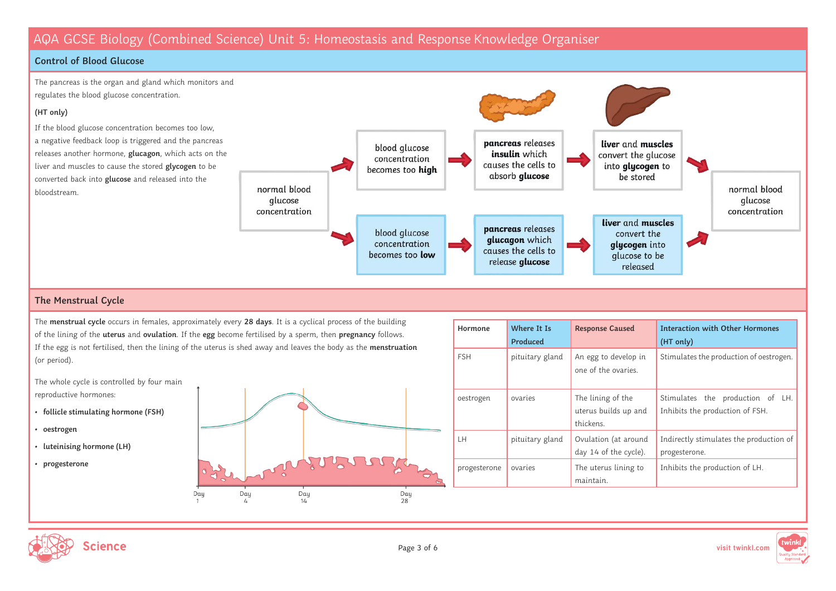### **Control of Blood Glucose**



### **The Menstrual Cycle**

The **menstrual cycle** occurs in females, approximately every **28 days**. It is a cyclical process of the building of the lining of the **uterus** and **ovulation**. If the **egg** become fertilised by a sperm, then **pregnancy** follows. If the egg is not fertilised, then the lining of the uterus is shed away and leaves the body as the **menstruation** (or period).

The whole cycle is controlled by four main reproductive hormones:

- **follicle stimulating hormone (FSH)**
- **oestrogen**
- **luteinising hormone (LH)**
- **progesterone**



| Hormone      | Where It Is<br>Produced | <b>Response Caused</b>                                 | <b>Interaction with Other Hormones</b><br>(HT only)                 |
|--------------|-------------------------|--------------------------------------------------------|---------------------------------------------------------------------|
| <b>FSH</b>   | pituitary gland         | An egg to develop in<br>one of the ovaries.            | Stimulates the production of oestrogen.                             |
| oestrogen    | ovaries                 | The lining of the<br>uterus builds up and<br>thickens. | Stimulates the production of LH.<br>Inhibits the production of FSH. |
| LH           | pituitary gland         | Ovulation (at around<br>day 14 of the cycle).          | Indirectly stimulates the production of<br>progesterone.            |
| progesterone | ovaries                 | The uterus lining to<br>maintain.                      | Inhibits the production of LH.                                      |



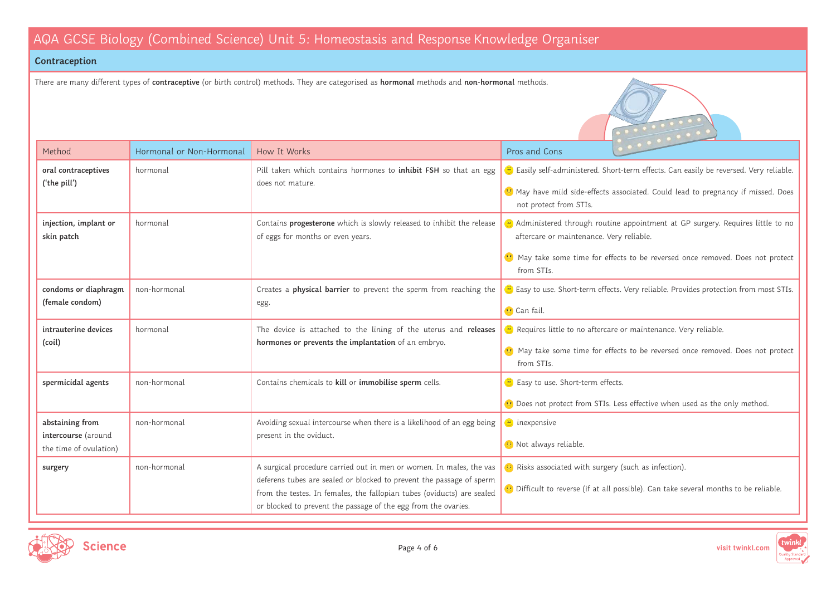### **Contraception**

There are many different types of **contraceptive** (or birth control) methods. They are categorised as **hormonal** methods and **non-hormonal** methods.





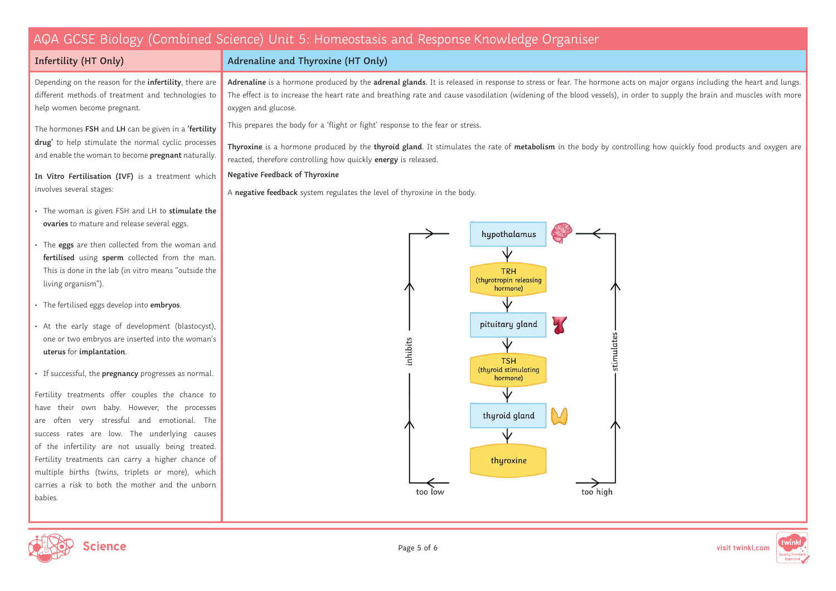**Adrenaline and Thyroxine (HT Only)**

### **Infertility (HT Only)**

Depending on the reason for the **infertility**, there are different methods of treatment and technologies to help women become pregnant.

The hormones **FSH** and **LH** can be given in a **'fertility drug'** to help stimulate the normal cyclic processes and enable the woman to become **pregnant** naturally.

**In Vitro Fertilisation (IVF)** is a treatment which involves several stages:

- The woman is given FSH and LH to **stimulate the ovaries** to mature and release several eggs.
- The **eggs** are then collected from the woman and **fertilised** using **sperm** collected from the man. This is done in the lab (in vitro means "outside the living organism").
- The fertilised eggs develop into **embryos**.
- At the early stage of development (blastocyst), one or two embryos are inserted into the woman's **uterus** for **implantation**.
- If successful, the **pregnancy** progresses as normal.

Fertility treatments offer couples the chance to have their own baby. However, the processes are often very stressful and emotional. The success rates are low. The underlying causes of the infertility are not usually being treated. Fertility treatments can carry a higher chance of multiple births (twins, triplets or more), which carries a risk to both the mother and the unborn babies.

**Adrenaline** is a hormone produced by the **adrenal glands**. It is released in response to stress or fear. The hormone acts on major organs including the heart and lungs. The effect is to increase the heart rate and breathing rate and cause vasodilation (widening of the blood vessels), in order to supply the brain and muscles with more oxygen and glucose.

This prepares the body for a 'flight or fight' response to the fear or stress.

**Thyroxine** is a hormone produced by the **thyroid gland**. It stimulates the rate of **metabolism** in the body by controlling how quickly food products and oxygen are reacted, therefore controlling how quickly **energy** is released.

#### **Negative Feedback of Thyroxine**

A **negative feedback** system regulates the level of thyroxine in the body.